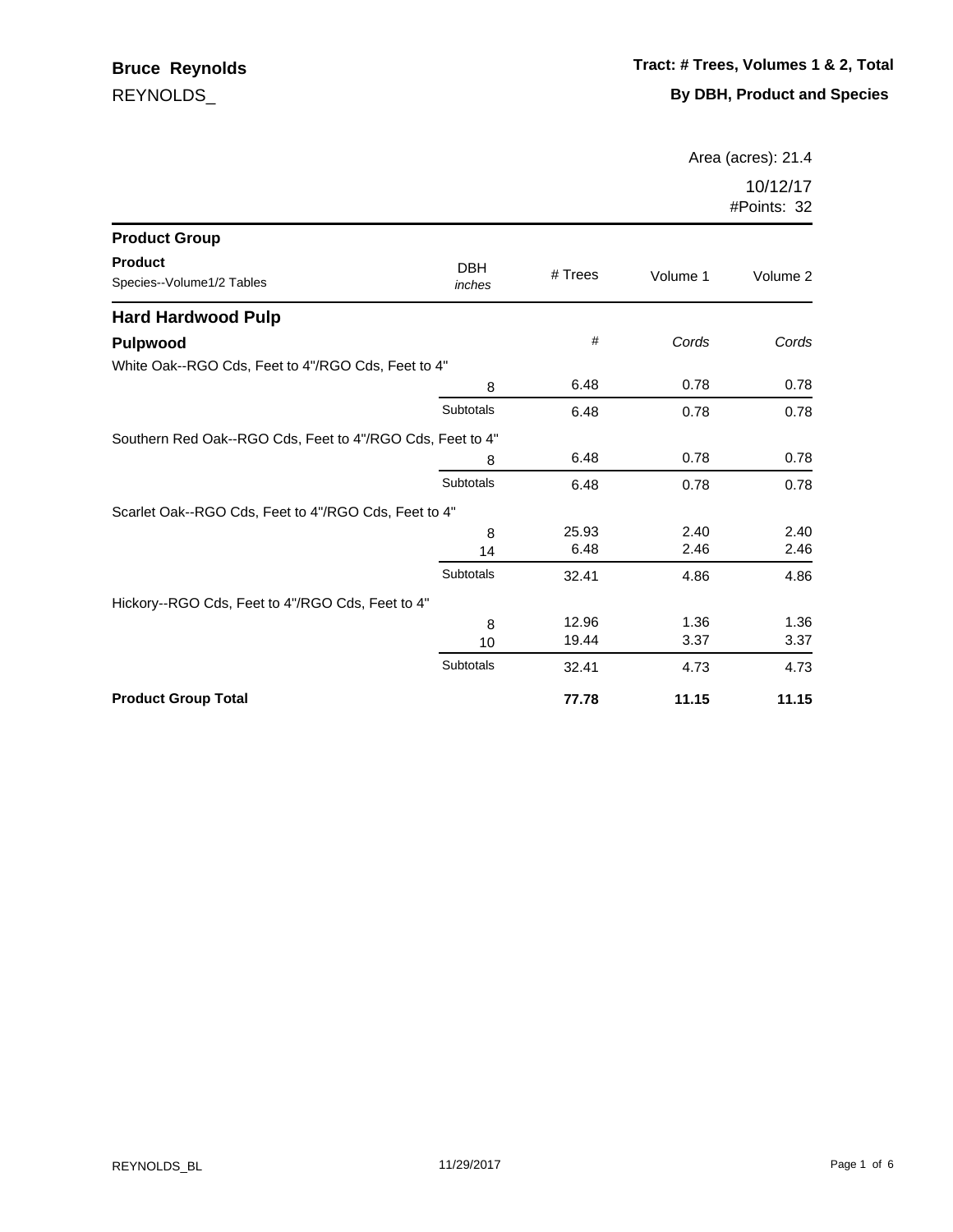Area (acres): 21.4

| <b>Product Group</b>                                      |                      |         |          |          |
|-----------------------------------------------------------|----------------------|---------|----------|----------|
| <b>Product</b><br>Species--Volume1/2 Tables               | <b>DBH</b><br>inches | # Trees | Volume 1 | Volume 2 |
| <b>Hard Hardwood Pulp</b>                                 |                      |         |          |          |
| <b>Pulpwood</b>                                           |                      | #       | Cords    | Cords    |
| White Oak--RGO Cds, Feet to 4"/RGO Cds, Feet to 4"        |                      |         |          |          |
|                                                           | 8                    | 6.48    | 0.78     | 0.78     |
|                                                           | Subtotals            | 6.48    | 0.78     | 0.78     |
| Southern Red Oak--RGO Cds, Feet to 4"/RGO Cds, Feet to 4" |                      |         |          |          |
|                                                           | 8                    | 6.48    | 0.78     | 0.78     |
|                                                           | Subtotals            | 6.48    | 0.78     | 0.78     |
| Scarlet Oak--RGO Cds, Feet to 4"/RGO Cds, Feet to 4"      |                      |         |          |          |
|                                                           | 8                    | 25.93   | 2.40     | 2.40     |
|                                                           | 14                   | 6.48    | 2.46     | 2.46     |
|                                                           | Subtotals            | 32.41   | 4.86     | 4.86     |
| Hickory--RGO Cds, Feet to 4"/RGO Cds, Feet to 4"          |                      |         |          |          |
|                                                           | 8                    | 12.96   | 1.36     | 1.36     |
|                                                           | 10                   | 19.44   | 3.37     | 3.37     |
|                                                           | Subtotals            | 32.41   | 4.73     | 4.73     |
| <b>Product Group Total</b>                                |                      | 77.78   | 11.15    | 11.15    |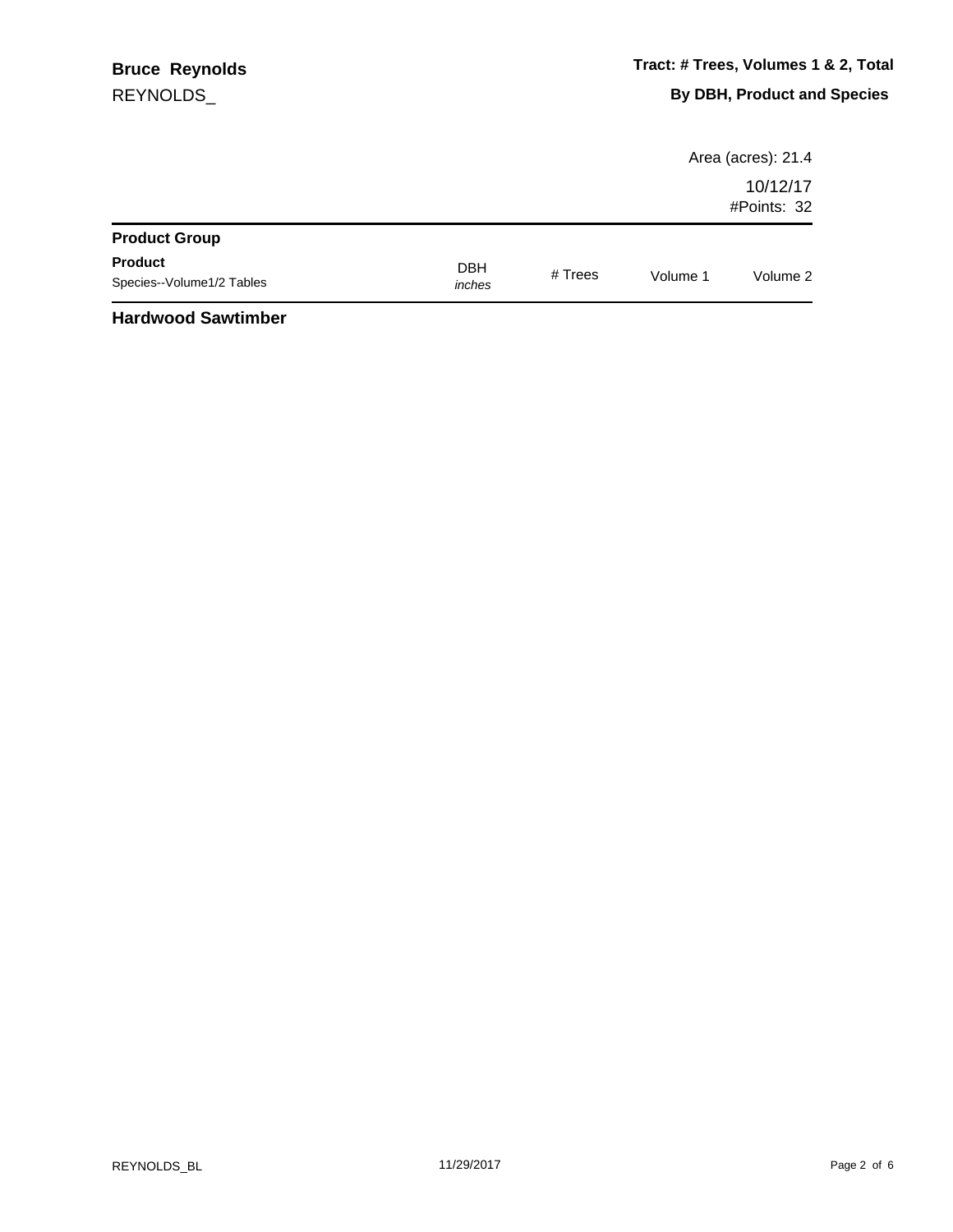|                                             |                      |           |          | Area (acres): 21.4      |
|---------------------------------------------|----------------------|-----------|----------|-------------------------|
|                                             |                      |           |          | 10/12/17<br>#Points: 32 |
| <b>Product Group</b>                        |                      |           |          |                         |
| <b>Product</b><br>Species--Volume1/2 Tables | <b>DBH</b><br>inches | # $Trees$ | Volume 1 | Volume 2                |
| .                                           |                      |           |          |                         |

## **Hardwood Sawtimber**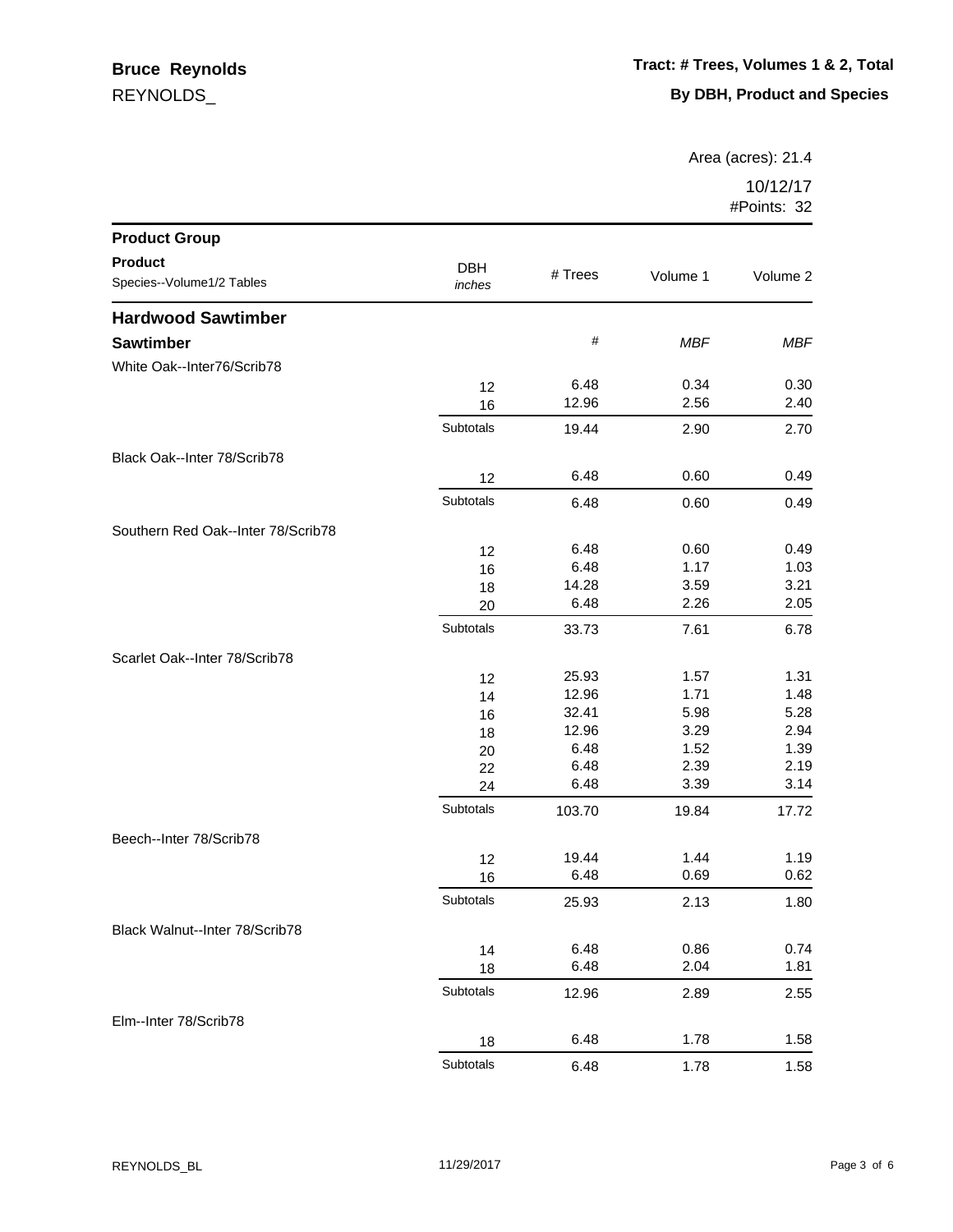## REYNOLDS\_ **Bruce Reynolds**

Area (acres): 21.4

| <b>Product Group</b>               |            |         |            |            |
|------------------------------------|------------|---------|------------|------------|
| <b>Product</b>                     | <b>DBH</b> |         |            |            |
| Species--Volume1/2 Tables          | inches     | # Trees | Volume 1   | Volume 2   |
| <b>Hardwood Sawtimber</b>          |            |         |            |            |
| <b>Sawtimber</b>                   |            | #       | <b>MBF</b> | <b>MBF</b> |
| White Oak--Inter76/Scrib78         |            |         |            |            |
|                                    | 12         | 6.48    | 0.34       | 0.30       |
|                                    | 16         | 12.96   | 2.56       | 2.40       |
|                                    | Subtotals  | 19.44   | 2.90       | 2.70       |
| Black Oak--Inter 78/Scrib78        |            |         |            |            |
|                                    | 12         | 6.48    | 0.60       | 0.49       |
|                                    | Subtotals  | 6.48    | 0.60       | 0.49       |
| Southern Red Oak--Inter 78/Scrib78 |            |         |            |            |
|                                    | 12         | 6.48    | 0.60       | 0.49       |
|                                    | 16         | 6.48    | 1.17       | 1.03       |
|                                    | 18         | 14.28   | 3.59       | 3.21       |
|                                    | 20         | 6.48    | 2.26       | 2.05       |
|                                    | Subtotals  | 33.73   | 7.61       | 6.78       |
| Scarlet Oak--Inter 78/Scrib78      |            |         |            |            |
|                                    | 12         | 25.93   | 1.57       | 1.31       |
|                                    | 14         | 12.96   | 1.71       | 1.48       |
|                                    | 16         | 32.41   | 5.98       | 5.28       |
|                                    | 18         | 12.96   | 3.29       | 2.94       |
|                                    | 20         | 6.48    | 1.52       | 1.39       |
|                                    | 22         | 6.48    | 2.39       | 2.19       |
|                                    | 24         | 6.48    | 3.39       | 3.14       |
|                                    | Subtotals  | 103.70  | 19.84      | 17.72      |
| Beech--Inter 78/Scrib78            |            |         |            |            |
|                                    | 12         | 19.44   | 1.44       | 1.19       |
|                                    | 16         | 6.48    | 0.69       | 0.62       |
|                                    | Subtotals  | 25.93   | 2.13       | 1.80       |
| Black Walnut--Inter 78/Scrib78     |            |         |            |            |
|                                    | 14         | 6.48    | 0.86       | 0.74       |
|                                    | 18         | 6.48    | 2.04       | 1.81       |
|                                    | Subtotals  | 12.96   | 2.89       | 2.55       |
| Elm--Inter 78/Scrib78              |            |         |            |            |
|                                    | 18         | 6.48    | 1.78       | 1.58       |
|                                    | Subtotals  | 6.48    | 1.78       | 1.58       |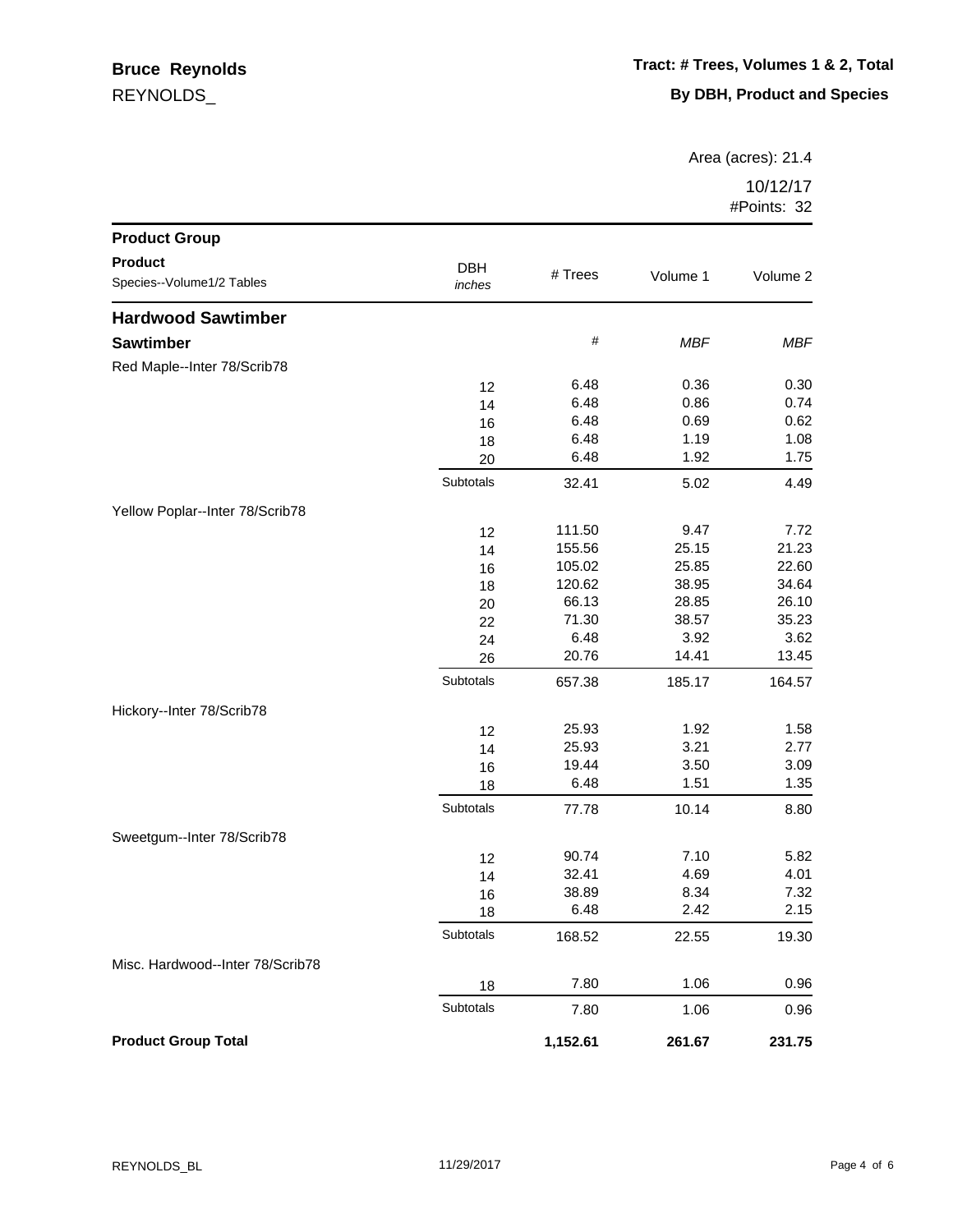## REYNOLDS\_ **Bruce Reynolds**

Area (acres): 21.4

| <b>Product Group</b>             |            |          |            |          |
|----------------------------------|------------|----------|------------|----------|
| <b>Product</b>                   | <b>DBH</b> |          |            |          |
| Species--Volume1/2 Tables        | inches     | # Trees  | Volume 1   | Volume 2 |
| <b>Hardwood Sawtimber</b>        |            |          |            |          |
| <b>Sawtimber</b>                 |            | $\#$     | <b>MBF</b> | MBF      |
| Red Maple--Inter 78/Scrib78      |            |          |            |          |
|                                  | 12         | 6.48     | 0.36       | 0.30     |
|                                  | 14         | 6.48     | 0.86       | 0.74     |
|                                  | 16         | 6.48     | 0.69       | 0.62     |
|                                  | 18         | 6.48     | 1.19       | 1.08     |
|                                  | 20         | 6.48     | 1.92       | 1.75     |
|                                  | Subtotals  | 32.41    | 5.02       | 4.49     |
| Yellow Poplar--Inter 78/Scrib78  |            |          |            |          |
|                                  | 12         | 111.50   | 9.47       | 7.72     |
|                                  | 14         | 155.56   | 25.15      | 21.23    |
|                                  | 16         | 105.02   | 25.85      | 22.60    |
|                                  | 18         | 120.62   | 38.95      | 34.64    |
|                                  | 20         | 66.13    | 28.85      | 26.10    |
|                                  | 22         | 71.30    | 38.57      | 35.23    |
|                                  | 24         | 6.48     | 3.92       | 3.62     |
|                                  | 26         | 20.76    | 14.41      | 13.45    |
|                                  | Subtotals  | 657.38   | 185.17     | 164.57   |
| Hickory--Inter 78/Scrib78        |            |          |            |          |
|                                  | 12         | 25.93    | 1.92       | 1.58     |
|                                  | 14         | 25.93    | 3.21       | 2.77     |
|                                  | 16         | 19.44    | 3.50       | 3.09     |
|                                  | 18         | 6.48     | 1.51       | 1.35     |
|                                  | Subtotals  | 77.78    | 10.14      | 8.80     |
| Sweetgum--Inter 78/Scrib78       |            |          |            |          |
|                                  | 12         | 90.74    | 7.10       | 5.82     |
|                                  | 14         | 32.41    | 4.69       | 4.01     |
|                                  | 16         | 38.89    | 8.34       | 7.32     |
|                                  | 18         | 6.48     | 2.42       | 2.15     |
|                                  | Subtotals  | 168.52   | 22.55      | 19.30    |
| Misc. Hardwood--Inter 78/Scrib78 |            |          |            |          |
|                                  | 18         | 7.80     | 1.06       | 0.96     |
|                                  | Subtotals  | 7.80     | 1.06       | 0.96     |
| <b>Product Group Total</b>       |            | 1,152.61 | 261.67     | 231.75   |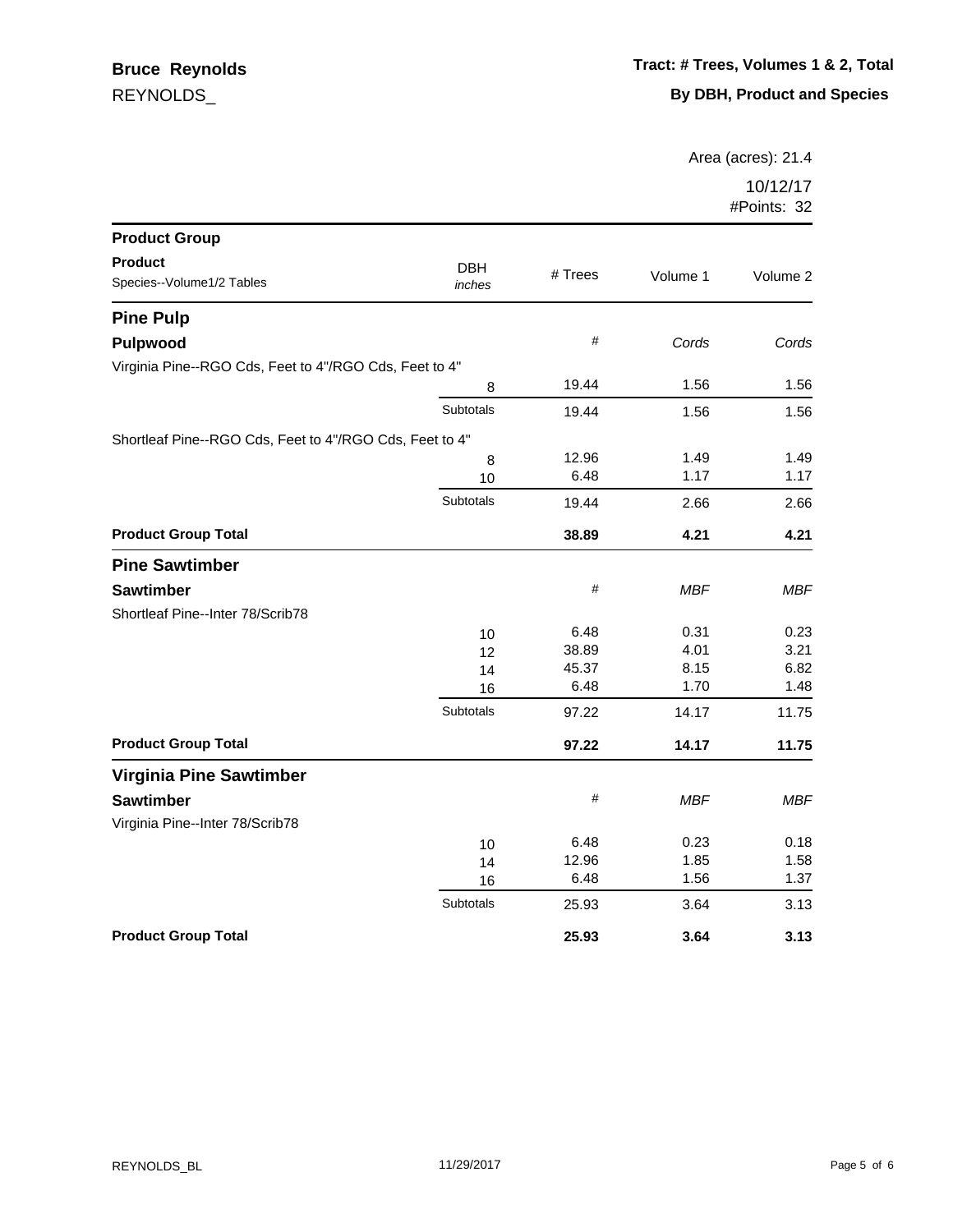Area (acres): 21.4

| <b>Product Group</b>                                    |                      |         |            |            |
|---------------------------------------------------------|----------------------|---------|------------|------------|
| <b>Product</b><br>Species--Volume1/2 Tables             | <b>DBH</b><br>inches | # Trees | Volume 1   | Volume 2   |
| <b>Pine Pulp</b>                                        |                      |         |            |            |
| <b>Pulpwood</b>                                         |                      | #       | Cords      | Cords      |
| Virginia Pine--RGO Cds, Feet to 4"/RGO Cds, Feet to 4"  |                      |         |            |            |
|                                                         | 8                    | 19.44   | 1.56       | 1.56       |
|                                                         | Subtotals            | 19.44   | 1.56       | 1.56       |
| Shortleaf Pine--RGO Cds, Feet to 4"/RGO Cds, Feet to 4" |                      |         |            |            |
|                                                         | 8                    | 12.96   | 1.49       | 1.49       |
|                                                         | 10                   | 6.48    | 1.17       | 1.17       |
|                                                         | Subtotals            | 19.44   | 2.66       | 2.66       |
| <b>Product Group Total</b>                              |                      | 38.89   | 4.21       | 4.21       |
| <b>Pine Sawtimber</b>                                   |                      |         |            |            |
| <b>Sawtimber</b>                                        |                      | $\#$    | <b>MBF</b> | <b>MBF</b> |
| Shortleaf Pine--Inter 78/Scrib78                        |                      |         |            |            |
|                                                         | 10                   | 6.48    | 0.31       | 0.23       |
|                                                         | 12                   | 38.89   | 4.01       | 3.21       |
|                                                         | 14                   | 45.37   | 8.15       | 6.82       |
|                                                         | 16                   | 6.48    | 1.70       | 1.48       |
|                                                         | <b>Subtotals</b>     | 97.22   | 14.17      | 11.75      |
| <b>Product Group Total</b>                              |                      | 97.22   | 14.17      | 11.75      |
| <b>Virginia Pine Sawtimber</b>                          |                      |         |            |            |
| <b>Sawtimber</b>                                        |                      | $\#$    | <b>MBF</b> | <b>MBF</b> |
| Virginia Pine--Inter 78/Scrib78                         |                      |         |            |            |
|                                                         | 10                   | 6.48    | 0.23       | 0.18       |
|                                                         | 14                   | 12.96   | 1.85       | 1.58       |
|                                                         | 16                   | 6.48    | 1.56       | 1.37       |
|                                                         | <b>Subtotals</b>     | 25.93   | 3.64       | 3.13       |
| <b>Product Group Total</b>                              |                      | 25.93   | 3.64       | 3.13       |